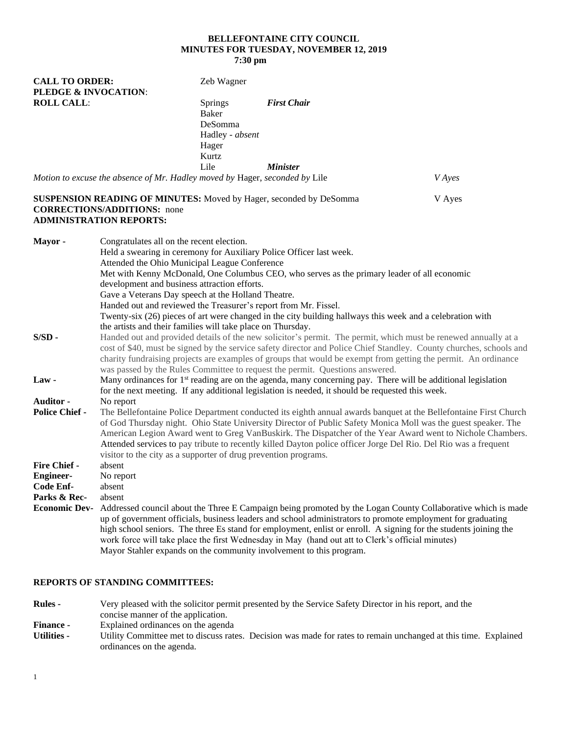# **BELLEFONTAINE CITY COUNCIL MINUTES FOR TUESDAY, NOVEMBER 12, 2019 7:30 pm**

| <b>CALL TO ORDER:</b><br><b>PLEDGE &amp; INVOCATION:</b>             |                                                                                                                                                                                                                                                                                                                                                                                                                                                                                                                                                   | Zeb Wagner                                                                     |                                                                                                                                                                         |                                                                                                                                                                                                                                                                                                                                                         |
|----------------------------------------------------------------------|---------------------------------------------------------------------------------------------------------------------------------------------------------------------------------------------------------------------------------------------------------------------------------------------------------------------------------------------------------------------------------------------------------------------------------------------------------------------------------------------------------------------------------------------------|--------------------------------------------------------------------------------|-------------------------------------------------------------------------------------------------------------------------------------------------------------------------|---------------------------------------------------------------------------------------------------------------------------------------------------------------------------------------------------------------------------------------------------------------------------------------------------------------------------------------------------------|
| <b>ROLL CALL:</b>                                                    |                                                                                                                                                                                                                                                                                                                                                                                                                                                                                                                                                   | <b>Springs</b><br><b>Baker</b><br>DeSomma<br>Hadley - absent<br>Hager<br>Kurtz | <b>First Chair</b>                                                                                                                                                      |                                                                                                                                                                                                                                                                                                                                                         |
|                                                                      |                                                                                                                                                                                                                                                                                                                                                                                                                                                                                                                                                   | Lile                                                                           | <b>Minister</b>                                                                                                                                                         |                                                                                                                                                                                                                                                                                                                                                         |
|                                                                      | Motion to excuse the absence of Mr. Hadley moved by Hager, seconded by Lile                                                                                                                                                                                                                                                                                                                                                                                                                                                                       |                                                                                |                                                                                                                                                                         | <b>V</b> Ayes                                                                                                                                                                                                                                                                                                                                           |
|                                                                      | <b>CORRECTIONS/ADDITIONS:</b> none<br><b>ADMINISTRATION REPORTS:</b>                                                                                                                                                                                                                                                                                                                                                                                                                                                                              |                                                                                | <b>SUSPENSION READING OF MINUTES:</b> Moved by Hager, seconded by DeSomma                                                                                               | V Ayes                                                                                                                                                                                                                                                                                                                                                  |
| Mayor -                                                              | Congratulates all on the recent election.<br>Held a swearing in ceremony for Auxiliary Police Officer last week.<br>Attended the Ohio Municipal League Conference<br>development and business attraction efforts.<br>Gave a Veterans Day speech at the Holland Theatre.<br>Handed out and reviewed the Treasurer's report from Mr. Fissel.<br>the artists and their families will take place on Thursday.                                                                                                                                         |                                                                                | Met with Kenny McDonald, One Columbus CEO, who serves as the primary leader of all economic                                                                             | Twenty-six (26) pieces of art were changed in the city building hallways this week and a celebration with                                                                                                                                                                                                                                               |
| $S/SD$ -                                                             |                                                                                                                                                                                                                                                                                                                                                                                                                                                                                                                                                   |                                                                                | was passed by the Rules Committee to request the permit. Questions answered.                                                                                            | Handed out and provided details of the new solicitor's permit. The permit, which must be renewed annually at a<br>cost of \$40, must be signed by the service safety director and Police Chief Standley. County churches, schools and<br>charity fundraising projects are examples of groups that would be exempt from getting the permit. An ordinance |
| <b>Law-</b>                                                          | Many ordinances for $1st$ reading are on the agenda, many concerning pay. There will be additional legislation<br>for the next meeting. If any additional legislation is needed, it should be requested this week.                                                                                                                                                                                                                                                                                                                                |                                                                                |                                                                                                                                                                         |                                                                                                                                                                                                                                                                                                                                                         |
| <b>Auditor -</b><br><b>Police Chief -</b>                            | No report<br>The Bellefontaine Police Department conducted its eighth annual awards banquet at the Bellefontaine First Church<br>of God Thursday night. Ohio State University Director of Public Safety Monica Moll was the guest speaker. The<br>American Legion Award went to Greg VanBuskirk. The Dispatcher of the Year Award went to Nichole Chambers.<br>Attended services to pay tribute to recently killed Dayton police officer Jorge Del Rio. Del Rio was a frequent<br>visitor to the city as a supporter of drug prevention programs. |                                                                                |                                                                                                                                                                         |                                                                                                                                                                                                                                                                                                                                                         |
| <b>Fire Chief -</b><br><b>Engineer-</b><br>Code Enf-<br>Parks & Rec- | absent<br>No report<br>absent<br>absent                                                                                                                                                                                                                                                                                                                                                                                                                                                                                                           |                                                                                |                                                                                                                                                                         |                                                                                                                                                                                                                                                                                                                                                         |
| <b>Economic Dev-</b>                                                 |                                                                                                                                                                                                                                                                                                                                                                                                                                                                                                                                                   |                                                                                | work force will take place the first Wednesday in May (hand out att to Clerk's official minutes)<br>Mayor Stahler expands on the community involvement to this program. | Addressed council about the Three E Campaign being promoted by the Logan County Collaborative which is made<br>up of government officials, business leaders and school administrators to promote employment for graduating<br>high school seniors. The three Es stand for employment, enlist or enroll. A signing for the students joining the          |

# **REPORTS OF STANDING COMMITTEES:**

| <b>Rules -</b>     | Very pleased with the solicitor permit presented by the Service Safety Director in his report, and the                                       |  |  |
|--------------------|----------------------------------------------------------------------------------------------------------------------------------------------|--|--|
|                    | concise manner of the application.                                                                                                           |  |  |
| <b>Finance -</b>   | Explained ordinances on the agenda                                                                                                           |  |  |
| <b>Utilities -</b> | Utility Committee met to discuss rates. Decision was made for rates to remain unchanged at this time. Explained<br>ordinances on the agenda. |  |  |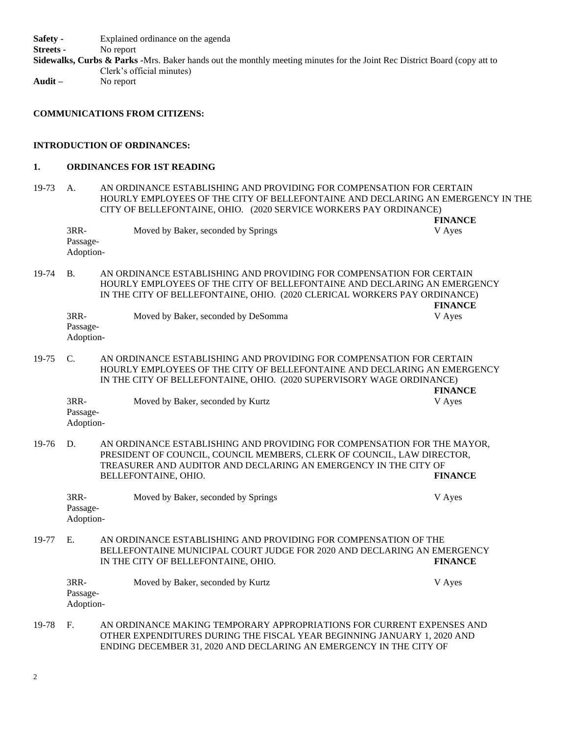**Safety -** Explained ordinance on the agenda **Streets -** No report **Sidewalks, Curbs & Parks -**Mrs. Baker hands out the monthly meeting minutes for the Joint Rec District Board (copy att to

Clerk's official minutes) **Audit –** No report

**COMMUNICATIONS FROM CITIZENS:**

#### **INTRODUCTION OF ORDINANCES:**

#### **1. ORDINANCES FOR 1ST READING**

19-73 A. AN ORDINANCE ESTABLISHING AND PROVIDING FOR COMPENSATION FOR CERTAIN HOURLY EMPLOYEES OF THE CITY OF BELLEFONTAINE AND DECLARING AN EMERGENCY IN THE CITY OF BELLEFONTAINE, OHIO. (2020 SERVICE WORKERS PAY ORDINANCE) **FINANCE**

3RR- Moved by Baker, seconded by Springs V Ayes Passage-Adoption-

19-74 B. AN ORDINANCE ESTABLISHING AND PROVIDING FOR COMPENSATION FOR CERTAIN HOURLY EMPLOYEES OF THE CITY OF BELLEFONTAINE AND DECLARING AN EMERGENCY IN THE CITY OF BELLEFONTAINE, OHIO. (2020 CLERICAL WORKERS PAY ORDINANCE) **FINANCE**

| 3RR-      | Moved by Baker, seconded by DeSomma | V Ayes |
|-----------|-------------------------------------|--------|
| Passage-  |                                     |        |
| Adoption- |                                     |        |

19-75 C. AN ORDINANCE ESTABLISHING AND PROVIDING FOR COMPENSATION FOR CERTAIN HOURLY EMPLOYEES OF THE CITY OF BELLEFONTAINE AND DECLARING AN EMERGENCY IN THE CITY OF BELLEFONTAINE, OHIO. (2020 SUPERVISORY WAGE ORDINANCE) **FINANCE**

| 3RR-      | Moved by Baker, seconded by Kurtz | V Ayes |
|-----------|-----------------------------------|--------|
| Passage-  |                                   |        |
| Adoption- |                                   |        |

19-76 D. AN ORDINANCE ESTABLISHING AND PROVIDING FOR COMPENSATION FOR THE MAYOR, PRESIDENT OF COUNCIL, COUNCIL MEMBERS, CLERK OF COUNCIL, LAW DIRECTOR, TREASURER AND AUDITOR AND DECLARING AN EMERGENCY IN THE CITY OF BELLEFONTAINE, OHIO. **FINANCE**

3RR- Moved by Baker, seconded by Springs V Ayes Passage-Adoption-

19-77 E. AN ORDINANCE ESTABLISHING AND PROVIDING FOR COMPENSATION OF THE BELLEFONTAINE MUNICIPAL COURT JUDGE FOR 2020 AND DECLARING AN EMERGENCY IN THE CITY OF BELLEFONTAINE, OHIO. **FINANCE**

| 3RR-      | Moved by Baker, seconded by Kurtz | V Aves |
|-----------|-----------------------------------|--------|
| Passage-  |                                   |        |
| Adoption- |                                   |        |
|           |                                   |        |

19-78 F. AN ORDINANCE MAKING TEMPORARY APPROPRIATIONS FOR CURRENT EXPENSES AND OTHER EXPENDITURES DURING THE FISCAL YEAR BEGINNING JANUARY 1, 2020 AND ENDING DECEMBER 31, 2020 AND DECLARING AN EMERGENCY IN THE CITY OF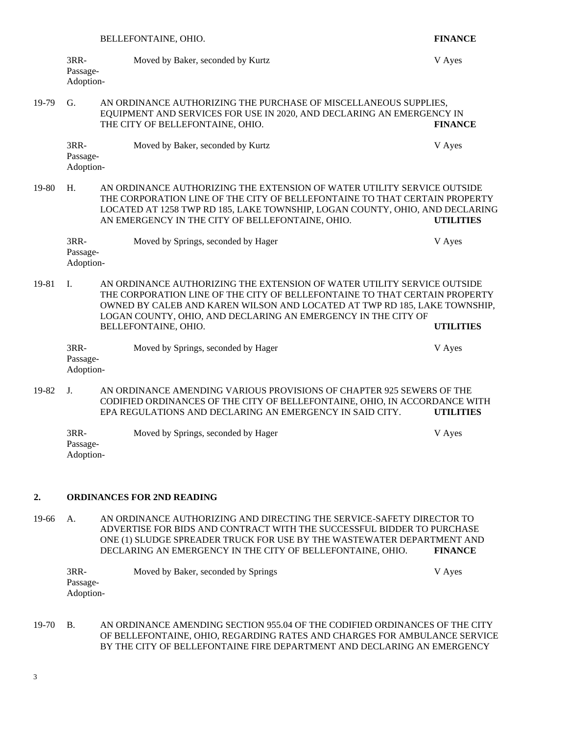| $3RR-$    | Moved by Baker, seconded by Kurtz | V Ayes |
|-----------|-----------------------------------|--------|
| Passage-  |                                   |        |
| Adoption- |                                   |        |

### 19-79 G. AN ORDINANCE AUTHORIZING THE PURCHASE OF MISCELLANEOUS SUPPLIES, EQUIPMENT AND SERVICES FOR USE IN 2020, AND DECLARING AN EMERGENCY IN THE CITY OF BELLEFONTAINE, OHIO. **FINANCE**

3RR- Moved by Baker, seconded by Kurtz V Ayes Passage-Adoption-

19-80 H. AN ORDINANCE AUTHORIZING THE EXTENSION OF WATER UTILITY SERVICE OUTSIDE THE CORPORATION LINE OF THE CITY OF BELLEFONTAINE TO THAT CERTAIN PROPERTY LOCATED AT 1258 TWP RD 185, LAKE TOWNSHIP, LOGAN COUNTY, OHIO, AND DECLARING AN EMERGENCY IN THE CITY OF BELLEFONTAINE, OHIO. **UTILITIES**

| 3RR-      | Moved by Springs, seconded by Hager | V Aves |
|-----------|-------------------------------------|--------|
| Passage-  |                                     |        |
| Adoption- |                                     |        |

19-81 I. AN ORDINANCE AUTHORIZING THE EXTENSION OF WATER UTILITY SERVICE OUTSIDE THE CORPORATION LINE OF THE CITY OF BELLEFONTAINE TO THAT CERTAIN PROPERTY OWNED BY CALEB AND KAREN WILSON AND LOCATED AT TWP RD 185, LAKE TOWNSHIP, LOGAN COUNTY, OHIO, AND DECLARING AN EMERGENCY IN THE CITY OF BELLEFONTAINE, OHIO. **UTILITIES**

| 3RR-      | Moved by Springs, seconded by Hager | V Ayes |
|-----------|-------------------------------------|--------|
| Passage-  |                                     |        |
| Adoption- |                                     |        |

19-82 J. AN ORDINANCE AMENDING VARIOUS PROVISIONS OF CHAPTER 925 SEWERS OF THE CODIFIED ORDINANCES OF THE CITY OF BELLEFONTAINE, OHIO, IN ACCORDANCE WITH EPA REGULATIONS AND DECLARING AN EMERGENCY IN SAID CITY. **UTILITIES**

| $3RR-$    | Moved by Springs, seconded by Hager | V Aves |
|-----------|-------------------------------------|--------|
| Passage-  |                                     |        |
| Adoption- |                                     |        |

# **2. ORDINANCES FOR 2ND READING**

19-66 A. AN ORDINANCE AUTHORIZING AND DIRECTING THE SERVICE-SAFETY DIRECTOR TO ADVERTISE FOR BIDS AND CONTRACT WITH THE SUCCESSFUL BIDDER TO PURCHASE ONE (1) SLUDGE SPREADER TRUCK FOR USE BY THE WASTEWATER DEPARTMENT AND DECLARING AN EMERGENCY IN THE CITY OF BELLEFONTAINE, OHIO. **FINANCE**

| $3RR-$    | Moved by Baker, seconded by Springs | V Ayes |
|-----------|-------------------------------------|--------|
| Passage-  |                                     |        |
| Adoption- |                                     |        |

19-70 B. AN ORDINANCE AMENDING SECTION 955.04 OF THE CODIFIED ORDINANCES OF THE CITY OF BELLEFONTAINE, OHIO, REGARDING RATES AND CHARGES FOR AMBULANCE SERVICE BY THE CITY OF BELLEFONTAINE FIRE DEPARTMENT AND DECLARING AN EMERGENCY